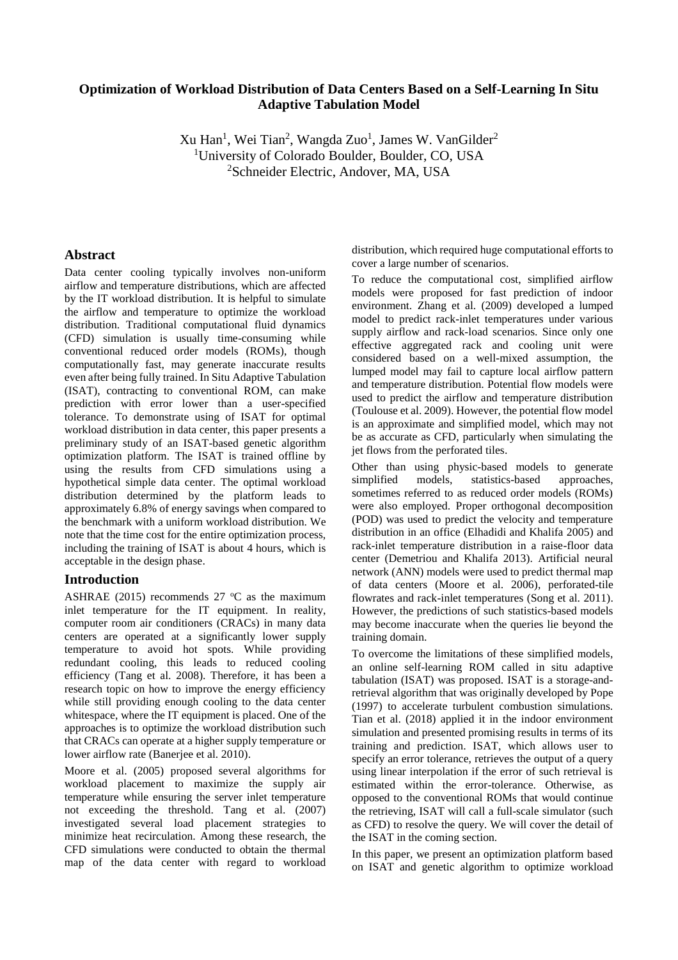# **Optimization of Workload Distribution of Data Centers Based on a Self-Learning In Situ Adaptive Tabulation Model**

Xu Han<sup>1</sup>, Wei Tian<sup>2</sup>, Wangda Zuo<sup>1</sup>, [James W. VanGilder](http://proceedings.asmedigitalcollection.asme.org/solr/searchresults.aspx?author=James+W.+VanGilder&q=James+W.+VanGilder)<sup>2</sup> <sup>1</sup>University of Colorado Boulder, Boulder, CO, USA <sup>2</sup>Schneider Electric, Andover, MA, USA

## **Abstract**

Data center cooling typically involves non-uniform airflow and temperature distributions, which are affected by the IT workload distribution. It is helpful to simulate the airflow and temperature to optimize the workload distribution. Traditional computational fluid dynamics (CFD) simulation is usually time-consuming while conventional reduced order models (ROMs), though computationally fast, may generate inaccurate results even after being fully trained. In Situ Adaptive Tabulation (ISAT), contracting to conventional ROM, can make prediction with error lower than a user-specified tolerance. To demonstrate using of ISAT for optimal workload distribution in data center, this paper presents a preliminary study of an ISAT-based genetic algorithm optimization platform. The ISAT is trained offline by using the results from CFD simulations using a hypothetical simple data center. The optimal workload distribution determined by the platform leads to approximately 6.8% of energy savings when compared to the benchmark with a uniform workload distribution. We note that the time cost for the entire optimization process, including the training of ISAT is about 4 hours, which is acceptable in the design phase.

# **Introduction**

ASHRAE (2015) recommends 27  $^{\circ}$ C as the maximum inlet temperature for the IT equipment. In reality, computer room air conditioners (CRACs) in many data centers are operated at a significantly lower supply temperature to avoid hot spots. While providing redundant cooling, this leads to reduced cooling efficiency (Tang et al. 2008). Therefore, it has been a research topic on how to improve the energy efficiency while still providing enough cooling to the data center whitespace, where the IT equipment is placed. One of the approaches is to optimize the workload distribution such that CRACs can operate at a higher supply temperature or lower airflow rate (Banerjee et al. 2010).

Moore et al. (2005) proposed several algorithms for workload placement to maximize the supply air temperature while ensuring the server inlet temperature not exceeding the threshold. Tang et al. (2007) investigated several load placement strategies to minimize heat recirculation. Among these research, the CFD simulations were conducted to obtain the thermal map of the data center with regard to workload

distribution, which required huge computational efforts to cover a large number of scenarios.

To reduce the computational cost, simplified airflow models were proposed for fast prediction of indoor environment. Zhang et al. (2009) developed a lumped model to predict rack-inlet temperatures under various supply airflow and rack-load scenarios. Since only one effective aggregated rack and cooling unit were considered based on a well-mixed assumption, the lumped model may fail to capture local airflow pattern and temperature distribution. Potential flow models were used to predict the airflow and temperature distribution (Toulouse et al. 2009). However, the potential flow model is an approximate and simplified model, which may not be as accurate as CFD, particularly when simulating the jet flows from the perforated tiles.

Other than using physic-based models to generate simplified models, statistics-based approaches, sometimes referred to as reduced order models (ROMs) were also employed. Proper orthogonal decomposition (POD) was used to predict the velocity and temperature distribution in an office (Elhadidi and Khalifa 2005) and rack-inlet temperature distribution in a raise-floor data center (Demetriou and Khalifa 2013). Artificial neural network (ANN) models were used to predict thermal map of data centers (Moore et al. 2006), perforated-tile flowrates and rack-inlet temperatures (Song et al. 2011). However, the predictions of such statistics-based models may become inaccurate when the queries lie beyond the training domain.

To overcome the limitations of these simplified models, an online self-learning ROM called in situ [adaptive](https://en.wikipedia.org/wiki/In_Situ_Adaptive_Tabulation)  [tabulation](https://en.wikipedia.org/wiki/In_Situ_Adaptive_Tabulation) (ISAT) was proposed. ISAT is a storage-andretrieval algorithm that was originally developed by Pope (1997) to accelerate turbulent combustion simulations. Tian et al. (2018) applied it in the indoor environment simulation and presented promising results in terms of its training and prediction. ISAT, which allows user to specify an error tolerance, retrieves the output of a query using linear interpolation if the error of such retrieval is estimated within the error-tolerance. Otherwise, as opposed to the conventional ROMs that would continue the retrieving, ISAT will call a full-scale simulator (such as CFD) to resolve the query. We will cover the detail of the ISAT in the coming section.

In this paper, we present an optimization platform based on ISAT and genetic algorithm to optimize workload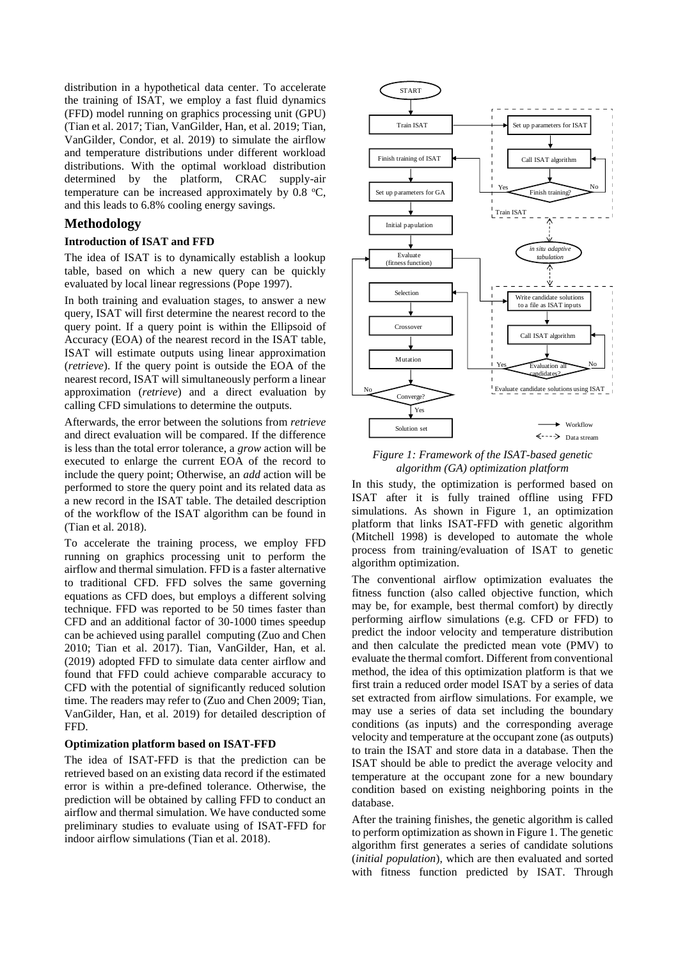distribution in a hypothetical data center. To accelerate the training of ISAT, we employ a fast fluid dynamics (FFD) model running on graphics processing unit (GPU) (Tian et al. 2017; Tian, VanGilder, Han, et al. 2019; Tian, VanGilder, Condor, et al. 2019) to simulate the airflow and temperature distributions under different workload distributions. With the optimal workload distribution determined by the platform, CRAC supply-air temperature can be increased approximately by  $0.8 \text{ °C}$ , and this leads to 6.8% cooling energy savings.

## **Methodology**

### **Introduction of ISAT and FFD**

The idea of ISAT is to dynamically establish a lookup table, based on which a new query can be quickly evaluated by local linear regressions (Pope 1997).

In both training and evaluation stages, to answer a new query, ISAT will first determine the nearest record to the query point. If a query point is within the Ellipsoid of Accuracy (EOA) of the nearest record in the ISAT table, ISAT will estimate outputs using linear approximation (*retrieve*). If the query point is outside the EOA of the nearest record, ISAT will simultaneously perform a linear approximation (*retrieve*) and a direct evaluation by calling CFD simulations to determine the outputs.

Afterwards, the error between the solutions from *retrieve* and direct evaluation will be compared. If the difference is less than the total error tolerance, a *grow* action will be executed to enlarge the current EOA of the record to include the query point; Otherwise, an *add* action will be performed to store the query point and its related data as a new record in the ISAT table. The detailed description of the workflow of the ISAT algorithm can be found in (Tian et al. 2018).

To accelerate the training process, we employ FFD running on graphics processing unit to perform the airflow and thermal simulation. FFD is a faster alternative to traditional CFD. FFD solves the same governing equations as CFD does, but employs a different solving technique. FFD was reported to be 50 times faster than CFD and an additional factor of 30-1000 times speedup can be achieved using parallel computing (Zuo and Chen 2010; Tian et al. 2017). Tian, VanGilder, Han, et al. (2019) adopted FFD to simulate data center airflow and found that FFD could achieve comparable accuracy to CFD with the potential of significantly reduced solution time. The readers may refer to (Zuo and Chen 2009; Tian, VanGilder, Han, et al. 2019) for detailed description of FFD.

#### **Optimization platform based on ISAT-FFD**

The idea of ISAT-FFD is that the prediction can be retrieved based on an existing data record if the estimated error is within a pre-defined tolerance. Otherwise, the prediction will be obtained by calling FFD to conduct an airflow and thermal simulation. We have conducted some preliminary studies to evaluate using of ISAT-FFD for indoor airflow simulations (Tian et al. 2018).



*Figure 1: Framework of the ISAT-based genetic algorithm (GA) optimization platform*

In this study, the optimization is performed based on ISAT after it is fully trained offline using FFD simulations. As shown in Figure 1, an optimization platform that links ISAT-FFD with genetic algorithm (Mitchell 1998) is developed to automate the whole process from training/evaluation of ISAT to genetic algorithm optimization.

The conventional airflow optimization evaluates the fitness function (also called objective function, which may be, for example, best thermal comfort) by directly performing airflow simulations (e.g. CFD or FFD) to predict the indoor velocity and temperature distribution and then calculate the predicted mean vote (PMV) to evaluate the thermal comfort. Different from conventional method, the idea of this optimization platform is that we first train a reduced order model ISAT by a series of data set extracted from airflow simulations. For example, we may use a series of data set including the boundary conditions (as inputs) and the corresponding average velocity and temperature at the occupant zone (as outputs) to train the ISAT and store data in a database. Then the ISAT should be able to predict the average velocity and temperature at the occupant zone for a new boundary condition based on existing neighboring points in the database.

After the training finishes, the genetic algorithm is called to perform optimization as shown in Figure 1. The genetic algorithm first generates a series of candidate solutions (*initial population*), which are then evaluated and sorted with fitness function predicted by ISAT. Through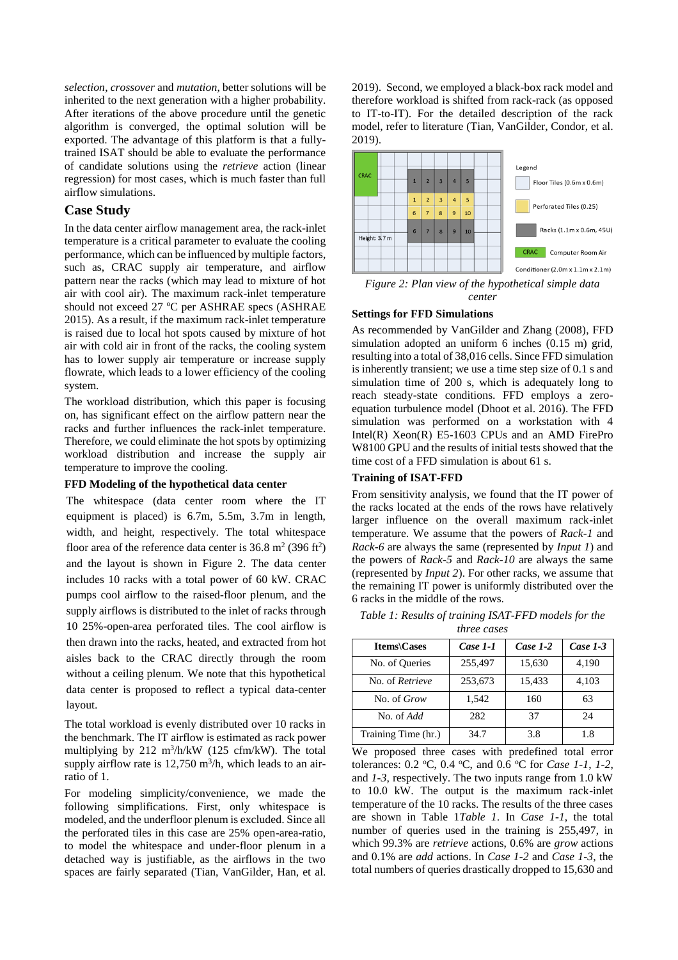*selection*, *crossover* and *mutation*, better solutions will be inherited to the next generation with a higher probability. After iterations of the above procedure until the genetic algorithm is converged, the optimal solution will be exported. The advantage of this platform is that a fullytrained ISAT should be able to evaluate the performance of candidate solutions using the *retrieve* action (linear regression) for most cases, which is much faster than full airflow simulations.

## **Case Study**

In the data center airflow management area, the rack-inlet temperature is a critical parameter to evaluate the cooling performance, which can be influenced by multiple factors, such as, CRAC supply air temperature, and airflow pattern near the racks (which may lead to mixture of hot air with cool air). The maximum rack-inlet temperature should not exceed  $27 \text{ °C}$  per ASHRAE specs (ASHRAE 2015). As a result, if the maximum rack-inlet temperature is raised due to local hot spots caused by mixture of hot air with cold air in front of the racks, the cooling system has to lower supply air temperature or increase supply flowrate, which leads to a lower efficiency of the cooling system.

The workload distribution, which this paper is focusing on, has significant effect on the airflow pattern near the racks and further influences the rack-inlet temperature. Therefore, we could eliminate the hot spots by optimizing workload distribution and increase the supply air temperature to improve the cooling.

## **FFD Modeling of the hypothetical data center**

The whitespace (data center room where the IT equipment is placed) is 6.7m, 5.5m, 3.7m in length, width, and height, respectively. The total whitespace floor area of the reference data center is  $36.8 \text{ m}^2 (396 \text{ ft}^2)$ and the layout is shown in [Figure 2.](#page-2-0) The data center includes 10 racks with a total power of 60 kW. CRAC pumps cool airflow to the raised-floor plenum, and the supply airflows is distributed to the inlet of racks through 10 25%-open-area perforated tiles. The cool airflow is then drawn into the racks, heated, and extracted from hot aisles back to the CRAC directly through the room without a ceiling plenum. We note that this hypothetical data center is proposed to reflect a typical data-center layout.

The total workload is evenly distributed over 10 racks in the benchmark. The IT airflow is estimated as rack power multiplying by  $212 \text{ m}^3/\text{h/kW}$  (125 cfm/kW). The total supply airflow rate is  $12,750$  m<sup>3</sup>/h, which leads to an airratio of 1.

For modeling simplicity/convenience, we made the following simplifications. First, only whitespace is modeled, and the underfloor plenum is excluded. Since all the perforated tiles in this case are 25% open-area-ratio, to model the whitespace and under-floor plenum in a detached way is justifiable, as the airflows in the two spaces are fairly separated (Tian, VanGilder, Han, et al.

2019). Second, we employed a black-box rack model and therefore workload is shifted from rack-rack (as opposed to IT-to-IT). For the detailed description of the rack model, refer to literature (Tian, VanGilder, Condor, et al. 2019).



<span id="page-2-0"></span>*Figure 2: Plan view of the hypothetical simple data center*

#### **Settings for FFD Simulations**

As recommended by VanGilder and Zhang (2008), FFD simulation adopted an uniform 6 inches (0.15 m) grid, resulting into a total of 38,016 cells. Since FFD simulation is inherently transient; we use a time step size of 0.1 s and simulation time of 200 s, which is adequately long to reach steady-state conditions. FFD employs a zeroequation turbulence model (Dhoot et al. 2016). The FFD simulation was performed on a workstation with 4 Intel(R) Xeon(R) E5-1603 CPUs and an AMD FirePro W8100 GPU and the results of initial tests showed that the time cost of a FFD simulation is about 61 s.

#### **Training of ISAT-FFD**

From sensitivity analysis, we found that the IT power of the racks located at the ends of the rows have relatively larger influence on the overall maximum rack-inlet temperature. We assume that the powers of *Rack-1* and *Rack-6* are always the same (represented by *Input 1*) and the powers of *Rack-5* and *Rack-10* are always the same (represented by *Input 2*). For other racks, we assume that the remaining IT power is uniformly distributed over the 6 racks in the middle of the rows.

<span id="page-2-1"></span>

|  |                    | Table 1: Results of training ISAT-FFD models for the |  |
|--|--------------------|------------------------------------------------------|--|
|  | <i>three cases</i> |                                                      |  |

| <b>Items</b> \Cases | Case 1-1 | Case $1-2$ | Case $1-3$ |
|---------------------|----------|------------|------------|
| No. of Queries      | 255,497  | 15,630     | 4,190      |
| No. of Retrieve     | 253,673  | 15,433     | 4,103      |
| No. of <i>Grow</i>  | 1,542    | 160        | 63         |
| No. of Add          | 282      | 37         | 24         |
| Training Time (hr.) | 34.7     | 3.8        | 1.8        |

We proposed three cases with predefined total error tolerances: 0.2 °C, 0.4 °C, and 0.6 °C for *Case 1-1*, *1-2*, and *1-3*, respectively. The two inputs range from 1.0 kW to 10.0 kW. The output is the maximum rack-inlet temperature of the 10 racks. The results of the three cases are shown in [Table 1](#page-2-1)*[Table 1](#page-2-1)*. In *Case 1-1*, the total number of queries used in the training is 255,497, in which 99.3% are *retrieve* actions, 0.6% are *grow* actions and 0.1% are *add* actions. In *Case 1-2* and *Case 1-3*, the total numbers of queries drastically dropped to 15,630 and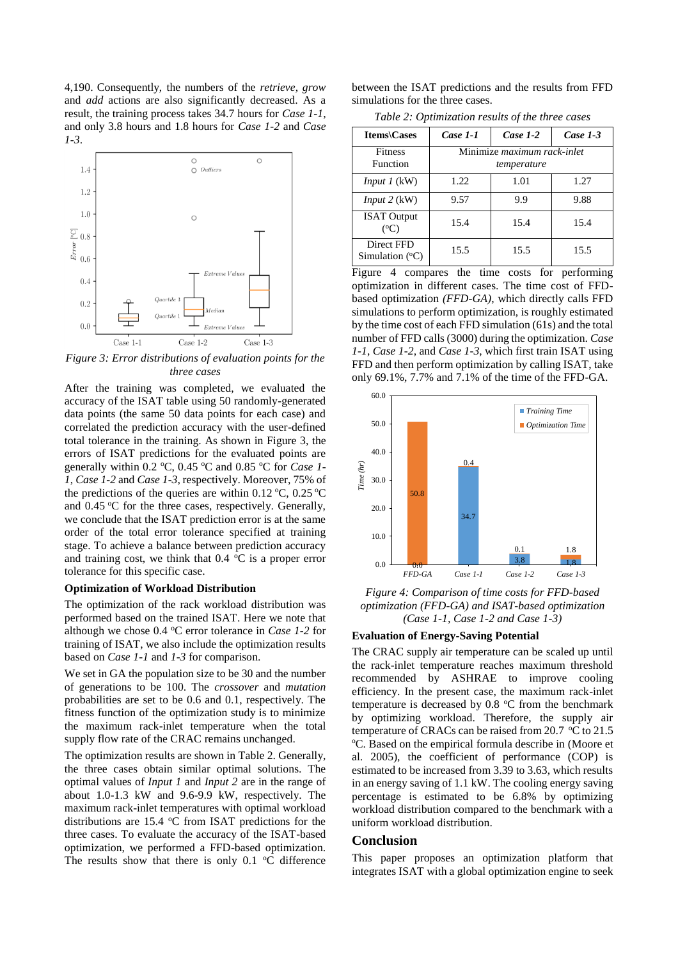4,190. Consequently, the numbers of the *retrieve*, *grow* and *add* actions are also significantly decreased. As a result, the training process takes 34.7 hours for *Case 1-1*, and only 3.8 hours and 1.8 hours for *Case 1-2* and *Case 1-3*.



<span id="page-3-0"></span>*Figure 3: Error distributions of evaluation points for the three cases*

After the training was completed, we evaluated the accuracy of the ISAT table using 50 randomly-generated data points (the same 50 data points for each case) and correlated the prediction accuracy with the user-defined total tolerance in the training. As shown in [Figure 3,](#page-3-0) the errors of ISAT predictions for the evaluated points are generally within 0.2 °C, 0.45 °C and 0.85 °C for *Case 1*-*1*, *Case 1-2* and *Case 1-3*, respectively. Moreover, 75% of the predictions of the queries are within 0.12  $\mathrm{^{\circ}C}$ , 0.25  $\mathrm{^{\circ}C}$ and  $0.45 \,^{\circ}\text{C}$  for the three cases, respectively. Generally, we conclude that the ISAT prediction error is at the same order of the total error tolerance specified at training stage. To achieve a balance between prediction accuracy and training cost, we think that  $0.4 \degree C$  is a proper error tolerance for this specific case.

#### **Optimization of Workload Distribution**

The optimization of the rack workload distribution was performed based on the trained ISAT. Here we note that although we chose 0.4 °C error tolerance in *Case 1-2* for training of ISAT, we also include the optimization results based on *Case 1-1* and *1-3* for comparison.

We set in GA the population size to be 30 and the number of generations to be 100. The *crossover* and *mutation* probabilities are set to be 0.6 and 0.1, respectively. The fitness function of the optimization study is to minimize the maximum rack-inlet temperature when the total supply flow rate of the CRAC remains unchanged.

The optimization results are shown in [Table 2.](#page-3-1) Generally, the three cases obtain similar optimal solutions. The optimal values of *Input 1* and *Input 2* are in the range of about 1.0-1.3 kW and 9.6-9.9 kW, respectively. The maximum rack-inlet temperatures with optimal workload distributions are  $15.4 \text{ °C}$  from ISAT predictions for the three cases. To evaluate the accuracy of the ISAT-based optimization, we performed a FFD-based optimization. The results show that there is only  $0.1 \degree C$  difference

between the ISAT predictions and the results from FFD simulations for the three cases.

*Table 2: Optimization results of the three cases*

<span id="page-3-1"></span>

| <b>Items</b> \Cases                    | Case 1-1                                          | Case $1-2$ | Case $1-3$ |
|----------------------------------------|---------------------------------------------------|------------|------------|
| <b>Fitness</b><br><b>Function</b>      | Minimize <i>maximum</i> rack-inlet<br>temperature |            |            |
| <i>Input 1</i> (kW)                    | 1.22                                              | 1.01       | 1.27       |
| <i>Input</i> $2$ (kW)                  | 9.57                                              | 9.9        | 9.88       |
| <b>ISAT Output</b><br>$(^{\circ}C)$    | 15.4                                              | 15.4       | 15.4       |
| Direct FFD<br>Simulation $(^{\circ}C)$ | 15.5                                              | 15.5       | 15.5       |

[Figure 4](#page-3-2) compares the time costs for performing optimization in different cases. The time cost of FFDbased optimization *(FFD-GA)*, which directly calls FFD simulations to perform optimization, is roughly estimated by the time cost of each FFD simulation (61s) and the total number of FFD calls (3000) during the optimization. *Case 1-1*, *Case 1-2*, and *Case 1-3*, which first train ISAT using FFD and then perform optimization by calling ISAT, take only 69.1%, 7.7% and 7.1% of the time of the FFD-GA.



<span id="page-3-2"></span>*Figure 4: Comparison of time costs for FFD-based optimization (FFD-GA) and ISAT-based optimization (Case 1-1, Case 1-2 and Case 1-3)*

#### **Evaluation of Energy-Saving Potential**

The CRAC supply air temperature can be scaled up until the rack-inlet temperature reaches maximum threshold recommended by ASHRAE to improve cooling efficiency. In the present case, the maximum rack-inlet temperature is decreased by  $0.8 \degree C$  from the benchmark by optimizing workload. Therefore, the supply air temperature of CRACs can be raised from 20.7  $\degree$ C to 21.5 <sup>o</sup>C. Based on the empirical formula describe in (Moore et al. 2005), the coefficient of performance (COP) is estimated to be increased from 3.39 to 3.63, which results in an energy saving of 1.1 kW. The cooling energy saving percentage is estimated to be 6.8% by optimizing workload distribution compared to the benchmark with a uniform workload distribution.

#### **Conclusion**

This paper proposes an optimization platform that integrates ISAT with a global optimization engine to seek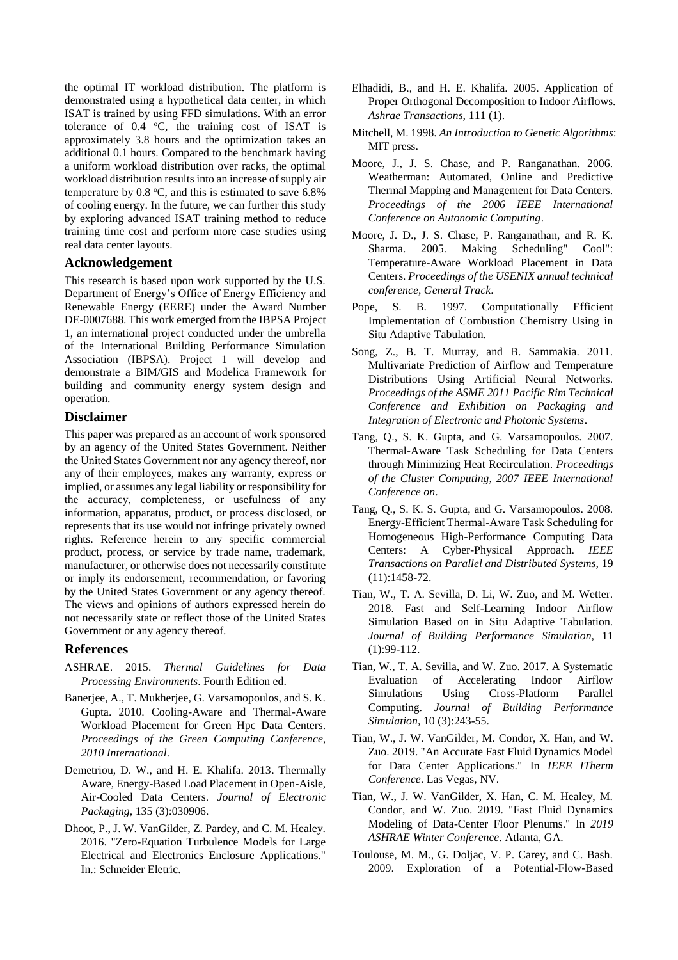the optimal IT workload distribution. The platform is demonstrated using a hypothetical data center, in which ISAT is trained by using FFD simulations. With an error tolerance of  $0.4 \text{ °C}$ , the training cost of ISAT is approximately 3.8 hours and the optimization takes an additional 0.1 hours. Compared to the benchmark having a uniform workload distribution over racks, the optimal workload distribution results into an increase of supply air temperature by  $0.8 \text{ °C}$ , and this is estimated to save  $6.8\%$ of cooling energy. In the future, we can further this study by exploring advanced ISAT training method to reduce training time cost and perform more case studies using real data center layouts.

## **Acknowledgement**

This research is based upon work supported by the U.S. Department of Energy's Office of Energy Efficiency and Renewable Energy (EERE) under the Award Number DE-0007688. This work emerged from the IBPSA Project 1, an international project conducted under the umbrella of the International Building Performance Simulation Association (IBPSA). Project 1 will develop and demonstrate a BIM/GIS and Modelica Framework for building and community energy system design and operation.

## **Disclaimer**

This paper was prepared as an account of work sponsored by an agency of the United States Government. Neither the United States Government nor any agency thereof, nor any of their employees, makes any warranty, express or implied, or assumes any legal liability or responsibility for the accuracy, completeness, or usefulness of any information, apparatus, product, or process disclosed, or represents that its use would not infringe privately owned rights. Reference herein to any specific commercial product, process, or service by trade name, trademark, manufacturer, or otherwise does not necessarily constitute or imply its endorsement, recommendation, or favoring by the United States Government or any agency thereof. The views and opinions of authors expressed herein do not necessarily state or reflect those of the United States Government or any agency thereof.

## **References**

- ASHRAE. 2015. *Thermal Guidelines for Data Processing Environments*. Fourth Edition ed.
- Banerjee, A., T. Mukherjee, G. Varsamopoulos, and S. K. Gupta. 2010. Cooling-Aware and Thermal-Aware Workload Placement for Green Hpc Data Centers. *Proceedings of the Green Computing Conference, 2010 International*.
- Demetriou, D. W., and H. E. Khalifa. 2013. Thermally Aware, Energy-Based Load Placement in Open-Aisle, Air-Cooled Data Centers. *Journal of Electronic Packaging,* 135 (3):030906.
- Dhoot, P., J. W. VanGilder, Z. Pardey, and C. M. Healey. 2016. "Zero-Equation Turbulence Models for Large Electrical and Electronics Enclosure Applications." In.: Schneider Eletric.
- Elhadidi, B., and H. E. Khalifa. 2005. Application of Proper Orthogonal Decomposition to Indoor Airflows. *Ashrae Transactions,* 111 (1).
- Mitchell, M. 1998. *An Introduction to Genetic Algorithms*: MIT press.
- Moore, J., J. S. Chase, and P. Ranganathan. 2006. Weatherman: Automated, Online and Predictive Thermal Mapping and Management for Data Centers. *Proceedings of the 2006 IEEE International Conference on Autonomic Computing*.
- Moore, J. D., J. S. Chase, P. Ranganathan, and R. K. Sharma. 2005. Making Scheduling" Cool": Temperature-Aware Workload Placement in Data Centers. *Proceedings of the USENIX annual technical conference, General Track*.
- Pope, S. B. 1997. Computationally Efficient Implementation of Combustion Chemistry Using in Situ Adaptive Tabulation.
- Song, Z., B. T. Murray, and B. Sammakia. 2011. Multivariate Prediction of Airflow and Temperature Distributions Using Artificial Neural Networks. *Proceedings of the ASME 2011 Pacific Rim Technical Conference and Exhibition on Packaging and Integration of Electronic and Photonic Systems*.
- Tang, Q., S. K. Gupta, and G. Varsamopoulos. 2007. Thermal-Aware Task Scheduling for Data Centers through Minimizing Heat Recirculation. *Proceedings of the Cluster Computing, 2007 IEEE International Conference on*.
- Tang, Q., S. K. S. Gupta, and G. Varsamopoulos. 2008. Energy-Efficient Thermal-Aware Task Scheduling for Homogeneous High-Performance Computing Data Centers: A Cyber-Physical Approach. *IEEE Transactions on Parallel and Distributed Systems,* 19 (11):1458-72.
- Tian, W., T. A. Sevilla, D. Li, W. Zuo, and M. Wetter. 2018. Fast and Self-Learning Indoor Airflow Simulation Based on in Situ Adaptive Tabulation. *Journal of Building Performance Simulation,* 11 (1):99-112.
- Tian, W., T. A. Sevilla, and W. Zuo. 2017. A Systematic Evaluation of Accelerating Indoor Airflow Simulations Using Cross-Platform Parallel Computing. *Journal of Building Performance Simulation,* 10 (3):243-55.
- Tian, W., J. W. VanGilder, M. Condor, X. Han, and W. Zuo. 2019. "An Accurate Fast Fluid Dynamics Model for Data Center Applications." In *IEEE ITherm Conference*. Las Vegas, NV.
- Tian, W., J. W. VanGilder, X. Han, C. M. Healey, M. Condor, and W. Zuo. 2019. "Fast Fluid Dynamics Modeling of Data-Center Floor Plenums." In *2019 ASHRAE Winter Conference*. Atlanta, GA.
- Toulouse, M. M., G. Doljac, V. P. Carey, and C. Bash. 2009. Exploration of a Potential-Flow-Based